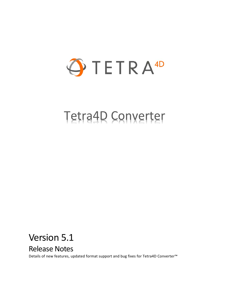

# Tetra4D Converter

# Version 5.1

# Release Notes

Details of new features, updated format support and bug fixes for Tetra4D Converter™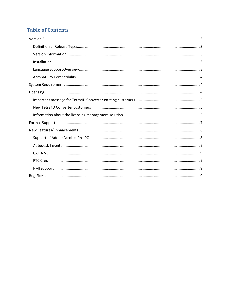# **Table of Contents**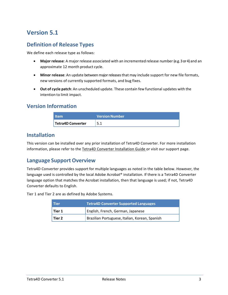# <span id="page-2-0"></span>**Version 5.1**

#### <span id="page-2-1"></span>**Definition of Release Types**

We define each release type as follows:

- **Major release**: A major release associated with an incremented release number (e.g. 3 or 4) and an approximate 12 month product cycle.
- **Minor release**: An update betweenmajorreleasesthat may include support for new file formats, new versions of currently supported formats, and bug fixes.
- **Out of cycle patch**: An unscheduled update. These contain few functional updates with the intention to limit impact.

#### <span id="page-2-2"></span>**Version Information**

| <b>Item</b>       | l Version Number <b>\</b> |
|-------------------|---------------------------|
| Tetra4D Converter |                           |

#### <span id="page-2-3"></span>**Installation**

This version can be installed over any prior installation of Tetra4D Converter. For more installation information, please refer to the Tetra4D Converter Installation Guide or visit our support page.

#### <span id="page-2-4"></span>**Language Support Overview**

Tetra4D Converter provides support for multiple languages as noted in the table below. However, the language used is controlled by the local Adobe Acrobat® installation. If there is a Tetra4D Converter language option that matches the Acrobat installation, then that language is used; if not, Tetra4D Converter defaults to English.

Tier 1 and Tier 2 are as defined by Adobe Systems.

| <b>Tier</b> | <b>Tetra4D Converter Supported Languages</b>   |  |  |
|-------------|------------------------------------------------|--|--|
| l Tier 1    | English, French, German, Japanese              |  |  |
| l Tier 2    | Brazilian Portuguese, Italian, Korean, Spanish |  |  |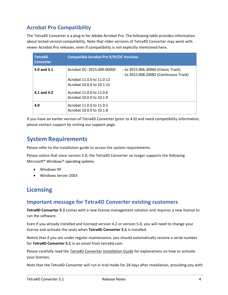### <span id="page-3-0"></span>**Acrobat Pro Compatibility**

The Tetra4D Converter is a plug-in for Adobe Acrobat Pro. The following table provides information about tested version compatibility. Note that older versions of Tetra4D Converter may work with newer Acrobat Pro releases, even if compatibility is not explicitly mentioned here.

| <b>Tetra4D</b><br><b>Converter</b> | <b>Compatible Acrobat Pro X/XI/DC Versions</b>                                       |                                                                               |  |
|------------------------------------|--------------------------------------------------------------------------------------|-------------------------------------------------------------------------------|--|
| 5.0 and 5.1                        | Acrobat DC: 2015.000.00000<br>Acrobat 11.0.0 to 11.0.12<br>Acrobat 10.0.0 to 10.1.15 | - to 2015.006.30060 (Classic Track)<br>- to 2015.008.20082 (Continuous Track) |  |
| 4.1 and 4.2                        | Acrobat 11.0.0 to 11.0.6<br>Acrobat 10.0.0 to 10.1.9                                 |                                                                               |  |
| 4.0                                | Acrobat 11.0.0 to 11.0.5<br>Acrobat 10.0.0 to 10.1.8                                 |                                                                               |  |

If you have an earlier version of Tetra4D Converter (prior to 4.0) and need compatibility information, please contact support by visiting our support page.

# <span id="page-3-1"></span>**System Requirements**

Please refer to the installation guide to access the system requirements.

Please notice that since version 5.0, the Tetra4D Converter no longer supports the following Microsoft® Windows® operating systems

- Windows XP
- Windows Server 2003

# <span id="page-3-2"></span>**Licensing**

#### <span id="page-3-3"></span>**Important message for Tetra4D Converter existing customers**

**Tetra4D Converter 5.1** comes with a new license management solution and requires a new license to run the software.

Even if you already installed and licensed version 4.2 or version 5.0, you will need to change your license and activate the seats when **Tetra4D Converter 5.1** is installed.

Notice that if you are under regular maintenance, you should automatically receive a serial number for **Tetra4D Converter 5.1** in an email from tetra4d.com.

Please carefully read the Tetra4D Converter Installation Guide for explanations on how to activate your licenses.

Note that the Tetra4D Converter will run in trial mode for 28 days after installation, providing you with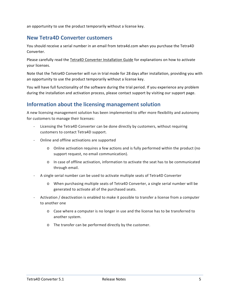an opportunity to use the product temporarily without a license key.

#### <span id="page-4-0"></span>**New Tetra4D Converter customers**

You should receive a serial number in an email from tetra4d.com when you purchase the Tetra4D Converter.

Please carefully read the Tetra4D Converter Installation Guide for explanations on how to activate your licenses.

Note that the Tetra4D Converter will run in trial mode for 28 days after installation, providing you with an opportunity to use the product temporarily without a license key.

You will have full functionality of the software during the trial period. If you experience any problem during the installation and activation process, please contact support by visiting our support page.

#### <span id="page-4-1"></span>**Information about the licensing management solution**

A new licensing management solution has been implemented to offer more flexibility and autonomy for customers to manage their licenses:

- Licensing the Tetra4D Converter can be done directly by customers, without requiring customers to contact Tetra4D support.
- Online and offline activations are supported
	- o Online activation requires a few actions and is fully performed within the product (no support request, no email communication).
	- o In case of offline activation, information to activate the seat has to be communicated through email.
- A single serial number can be used to activate multiple seats of Tetra4D Converter
	- o When purchasing multiple seats of Tetra4D Converter, a single serial number will be generated to activate all of the purchased seats.
- Activation / deactivation is enabled to make it possible to transfer a license from a computer to another one
	- o Case where a computer is no longer in use and the license has to be transferred to another system.
	- o The transfer can be performed directly by the customer.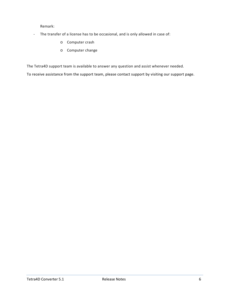Remark:

- The transfer of a license has to be occasional, and is only allowed in case of:
	- o Computer crash
	- o Computer change

The Tetra4D support team is available to answer any question and assist whenever needed.

To receive assistance from the support team, please contact support by visiting our support page.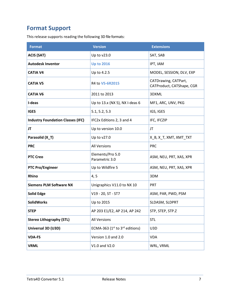# <span id="page-6-0"></span>**Format Support**

This release supports reading the following 3D file formats:

| <b>Format</b>                            | <b>Version</b>                      | <b>Extensions</b>                                 |
|------------------------------------------|-------------------------------------|---------------------------------------------------|
| <b>ACIS (SAT)</b>                        | Up to v23.0                         | SAT, SAB                                          |
| <b>Autodesk Inventor</b>                 | <b>Up to 2016</b>                   | IPT, IAM                                          |
| <b>CATIA V4</b>                          | Up to 4.2.5                         | MODEL, SESSION, DLV, EXP                          |
| <b>CATIA V5</b>                          | R4 to V5-6R2015                     | CATDrawing, CATPart,<br>CATProduct, CATShape, CGR |
| <b>CATIA V6</b>                          | 2011 to 2013                        | 3DXML                                             |
| I-deas                                   | Up to 13.x (NX 5), NX I-deas 6      | MF1, ARC, UNV, PKG                                |
| <b>IGES</b>                              | 5.1, 5.2, 5.3                       | IGS, IGES                                         |
| <b>Industry Foundation Classes (IFC)</b> | IFC2x Editions 2, 3 and 4           | IFC, IFCZIP                                       |
| JT                                       | Up to version 10.0                  | JT                                                |
| Parasolid (X_T)                          | Up to v27.0                         | X_B, X_T, XMT, XMT_TXT                            |
| <b>PRC</b>                               | <b>All Versions</b>                 | <b>PRC</b>                                        |
| <b>PTC Creo</b>                          | Elements/Pro 5.0<br>Parametric 3.0  | ASM, NEU, PRT, XAS, XPR                           |
| <b>PTC Pro/Engineer</b>                  | Up to Wildfire 5                    | ASM, NEU, PRT, XAS, XPR                           |
| <b>Rhino</b>                             | 4, 5                                | 3DM                                               |
| <b>Siemens PLM Software NX</b>           | Unigraphics V11.0 to NX 10          | PRT                                               |
| <b>Solid Edge</b>                        | V19 - 20, ST - ST7                  | ASM, PAR, PWD, PSM                                |
| <b>SolidWorks</b>                        | Up to 2015                          | SLDASM, SLDPRT                                    |
| <b>STEP</b>                              | AP 203 E1/E2, AP 214, AP 242        | STP, STEP, STP.Z                                  |
| <b>Stereo Lithography (STL)</b>          | <b>All Versions</b>                 | <b>STL</b>                                        |
| Universal 3D (U3D)                       | ECMA-363 ( $1st$ to $3rd$ editions) | U3D                                               |
| <b>VDA-FS</b>                            | Version 1.0 and 2.0                 | <b>VDA</b>                                        |
| <b>VRML</b>                              | V1.0 and V2.0                       | WRL, VRML                                         |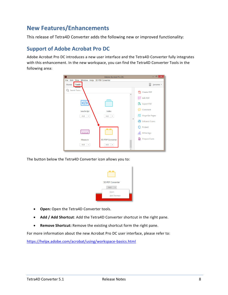# <span id="page-7-0"></span>**New Features/Enhancements**

This release of Tetra4D Converter adds the following new or improved functionality:

#### <span id="page-7-1"></span>**Support of Adobe Acrobat Pro DC**

Adobe Acrobat Pro DC introduces a new user interface and the Tetra4D Converter fully integrates with this enhancement. In the new workspace, you can find the Tetra4D Converter Tools in the following area:



The button below the Tetra4D Converter icon allows you to:



- **Open:** Open the Tetra4D Converter tools.
- **Add / Add Shortcut**: Add the Tetra4D Converter shortcut in the right pane.
- **Remove Shortcut:** Remove the existing shortcut form the right pane.

For more information about the new Acrobat Pro DC user interface, please refer to:

<https://helpx.adobe.com/acrobat/using/workspace-basics.html>